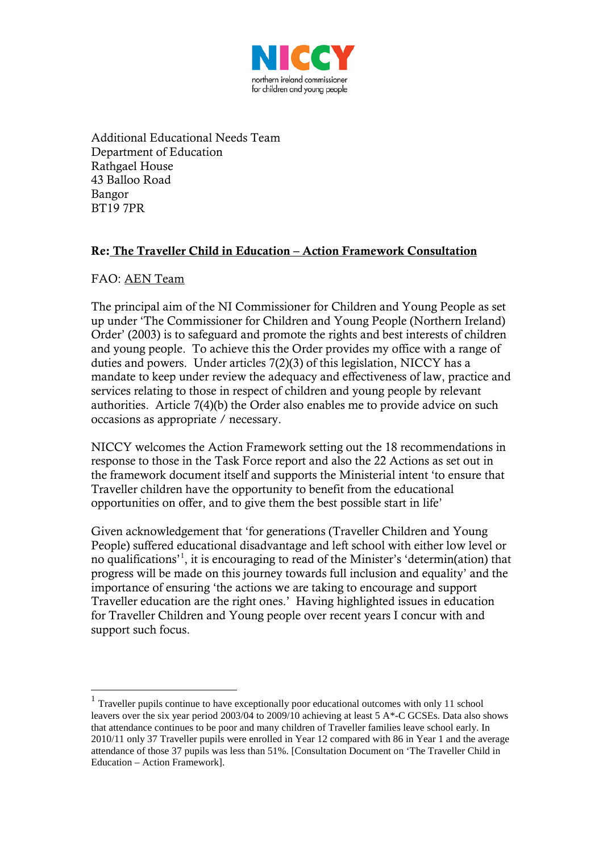

Additional Educational Needs Team Department of Education Rathgael House 43 Balloo Road Bangor BT19 7PR

### Re: The Traveller Child in Education – Action Framework Consultation

#### FAO: AEN Team

The principal aim of the NI Commissioner for Children and Young People as set up under 'The Commissioner for Children and Young People (Northern Ireland) Order' (2003) is to safeguard and promote the rights and best interests of children and young people. To achieve this the Order provides my office with a range of duties and powers. Under articles 7(2)(3) of this legislation, NICCY has a mandate to keep under review the adequacy and effectiveness of law, practice and services relating to those in respect of children and young people by relevant authorities. Article 7(4)(b) the Order also enables me to provide advice on such occasions as appropriate / necessary.

NICCY welcomes the Action Framework setting out the 18 recommendations in response to those in the Task Force report and also the 22 Actions as set out in the framework document itself and supports the Ministerial intent 'to ensure that Traveller children have the opportunity to benefit from the educational opportunities on offer, and to give them the best possible start in life'

Given acknowledgement that 'for generations (Traveller Children and Young People) suffered educational disadvantage and left school with either low level or no qualifications' [1](#page-0-0) , it is encouraging to read of the Minister's 'determin(ation) that progress will be made on this journey towards full inclusion and equality' and the importance of ensuring 'the actions we are taking to encourage and support Traveller education are the right ones.' Having highlighted issues in education for Traveller Children and Young people over recent years I concur with and support such focus.

<span id="page-0-0"></span><sup>&</sup>lt;sup>1</sup> Traveller pupils continue to have exceptionally poor educational outcomes with only 11 school leavers over the six year period 2003/04 to 2009/10 achieving at least 5 A\*-C GCSEs. Data also shows that attendance continues to be poor and many children of Traveller families leave school early. In 2010/11 only 37 Traveller pupils were enrolled in Year 12 compared with 86 in Year 1 and the average attendance of those 37 pupils was less than 51%. [Consultation Document on 'The Traveller Child in Education – Action Framework].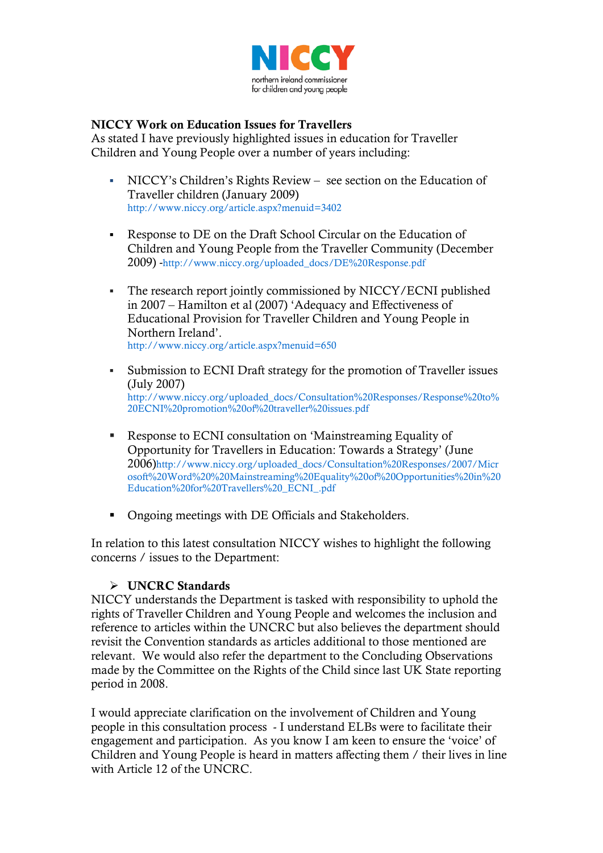

#### NICCY Work on Education Issues for Travellers

As stated I have previously highlighted issues in education for Traveller Children and Young People over a number of years including:

- NICCY's Children's Rights Review see section on the Education of Traveller children (January 2009) <http://www.niccy.org/article.aspx?menuid=3402>
- Response to DE on the Draft School Circular on the Education of Children and Young People from the Traveller Community (December 2009) [-http://www.niccy.org/uploaded\\_docs/DE%20Response.pdf](http://www.niccy.org/uploaded_docs/DE%20Response.pdf)
- The research report jointly commissioned by NICCY/ECNI published in 2007 – Hamilton et al (2007) 'Adequacy and Effectiveness of Educational Provision for Traveller Children and Young People in Northern Ireland'. <http://www.niccy.org/article.aspx?menuid=650>
- Submission to ECNI Draft strategy for the promotion of Traveller issues (July 2007) [http://www.niccy.org/uploaded\\_docs/Consultation%20Responses/Response%20to%](http://www.niccy.org/uploaded_docs/Consultation%20Responses/Response%20to%20ECNI%20promotion%20of%20traveller%20issues.pdf) [20ECNI%20promotion%20of%20traveller%20issues.pdf](http://www.niccy.org/uploaded_docs/Consultation%20Responses/Response%20to%20ECNI%20promotion%20of%20traveller%20issues.pdf)
- Response to ECNI consultation on 'Mainstreaming Equality of Opportunity for Travellers in Education: Towards a Strategy' (June 2006[\)http://www.niccy.org/uploaded\\_docs/Consultation%20Responses/2007/Micr](http://www.niccy.org/uploaded_docs/Consultation%20Responses/2007/Microsoft%20Word%20%20Mainstreaming%20Equality%20of%20Opportunities%20in%20Education%20for%20Travellers%20_ECNI_.pdf) [osoft%20Word%20%20Mainstreaming%20Equality%20of%20Opportunities%20in%20](http://www.niccy.org/uploaded_docs/Consultation%20Responses/2007/Microsoft%20Word%20%20Mainstreaming%20Equality%20of%20Opportunities%20in%20Education%20for%20Travellers%20_ECNI_.pdf) [Education%20for%20Travellers%20\\_ECNI\\_.pdf](http://www.niccy.org/uploaded_docs/Consultation%20Responses/2007/Microsoft%20Word%20%20Mainstreaming%20Equality%20of%20Opportunities%20in%20Education%20for%20Travellers%20_ECNI_.pdf)
- Ongoing meetings with DE Officials and Stakeholders.

In relation to this latest consultation NICCY wishes to highlight the following concerns / issues to the Department:

#### > UNCRC Standards

NICCY understands the Department is tasked with responsibility to uphold the rights of Traveller Children and Young People and welcomes the inclusion and reference to articles within the UNCRC but also believes the department should revisit the Convention standards as articles additional to those mentioned are relevant. We would also refer the department to the Concluding Observations made by the Committee on the Rights of the Child since last UK State reporting period in 2008.

I would appreciate clarification on the involvement of Children and Young people in this consultation process - I understand ELBs were to facilitate their engagement and participation. As you know I am keen to ensure the 'voice' of Children and Young People is heard in matters affecting them / their lives in line with Article 12 of the UNCRC.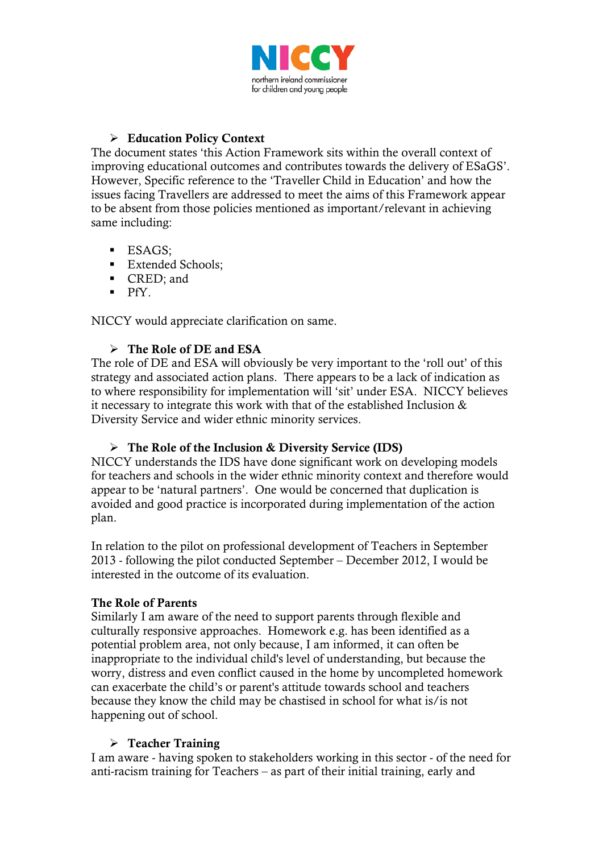

# **Education Policy Context**

The document states 'this Action Framework sits within the overall context of improving educational outcomes and contributes towards the delivery of ESaGS'. However, Specific reference to the 'Traveller Child in Education' and how the issues facing Travellers are addressed to meet the aims of this Framework appear to be absent from those policies mentioned as important/relevant in achieving same including:

- **ESAGS:**
- **Extended Schools;**
- CRED: and
- $PfY$ .

NICCY would appreciate clarification on same.

## $\triangleright$  The Role of DE and ESA

The role of DE and ESA will obviously be very important to the 'roll out' of this strategy and associated action plans. There appears to be a lack of indication as to where responsibility for implementation will 'sit' under ESA. NICCY believes it necessary to integrate this work with that of the established Inclusion & Diversity Service and wider ethnic minority services.

## $\triangleright$  The Role of the Inclusion & Diversity Service (IDS)

NICCY understands the IDS have done significant work on developing models for teachers and schools in the wider ethnic minority context and therefore would appear to be 'natural partners'. One would be concerned that duplication is avoided and good practice is incorporated during implementation of the action plan.

In relation to the pilot on professional development of Teachers in September 2013 - following the pilot conducted September – December 2012, I would be interested in the outcome of its evaluation.

## The Role of Parents

Similarly I am aware of the need to support parents through flexible and culturally responsive approaches. Homework e.g. has been identified as a potential problem area, not only because, I am informed, it can often be inappropriate to the individual child's level of understanding, but because the worry, distress and even conflict caused in the home by uncompleted homework can exacerbate the child's or parent's attitude towards school and teachers because they know the child may be chastised in school for what is/is not happening out of school.

#### $\triangleright$  Teacher Training

I am aware - having spoken to stakeholders working in this sector - of the need for anti-racism training for Teachers – as part of their initial training, early and